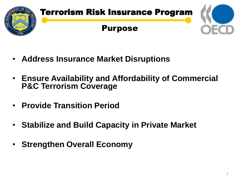

- **Address Insurance Market Disruptions**
- **Ensure Availability and Affordability of Commercial P&C Terrorism Coverage**
- **Provide Transition Period**
- **Stabilize and Build Capacity in Private Market**
- **Strengthen Overall Economy**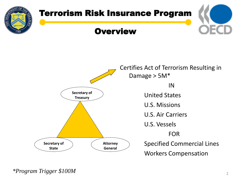

*\*Program Trigger \$100M*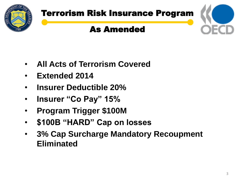

# Terrorism Risk Insurance Program

## As Amended



- **All Acts of Terrorism Covered**
- **Extended 2014**
- **Insurer Deductible 20%**
- **Insurer "Co Pay" 15%**
- **Program Trigger \$100M**
- **\$100B "HARD" Cap on losses**
- **3% Cap Surcharge Mandatory Recoupment Eliminated**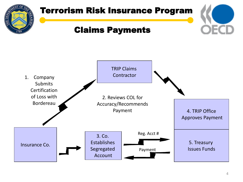

## Terrorism Risk Insurance Program

### Claims Payments